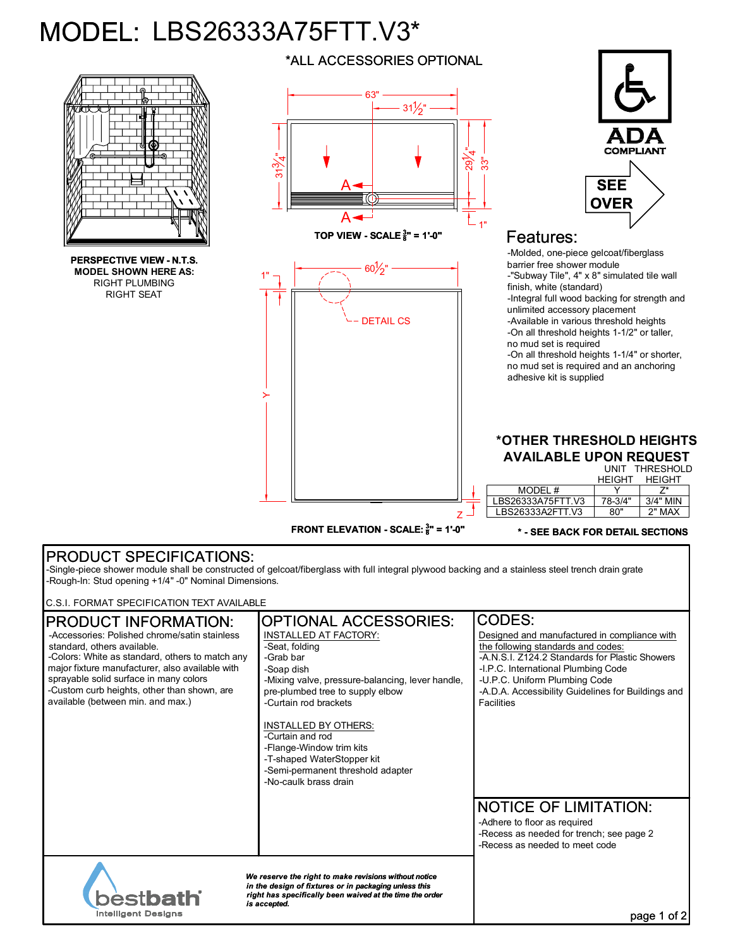## MODEL: LBS26333A75FTT.V3\*



## PRODUCT SPECIFICATIONS:

-Single-piece shower module shall be constructed of gelcoat/fiberglass with full integral plywood backing and a stainless steel trench drain grate -Rough-In: Stud opening +1/4" -0" Nominal Dimensions.

C.S.I. FORMAT SPECIFICATION TEXT AVAILABLE

| <b>IPRODUCT INFORMATION:</b>                                                                                                                                                                                                                                                                                     | <b>OPTIONAL ACCESSORIES:</b>                                                                                                                                                                                                                                                                                                                            | <b>CODES:</b>                                                                                                                                                                                                                                                                           |
|------------------------------------------------------------------------------------------------------------------------------------------------------------------------------------------------------------------------------------------------------------------------------------------------------------------|---------------------------------------------------------------------------------------------------------------------------------------------------------------------------------------------------------------------------------------------------------------------------------------------------------------------------------------------------------|-----------------------------------------------------------------------------------------------------------------------------------------------------------------------------------------------------------------------------------------------------------------------------------------|
| -Accessories: Polished chrome/satin stainless<br>standard, others available.<br>-Colors: White as standard, others to match any<br>major fixture manufacturer, also available with<br>sprayable solid surface in many colors<br>-Custom curb heights, other than shown, are<br>available (between min. and max.) | INSTALLED AT FACTORY:<br>-Seat, folding<br>-Grab bar<br>-Soap dish<br>-Mixing valve, pressure-balancing, lever handle,<br>pre-plumbed tree to supply elbow<br>-Curtain rod brackets<br>INSTALLED BY OTHERS:<br>-Curtain and rod<br>-Flange-Window trim kits<br>-T-shaped WaterStopper kit<br>-Semi-permanent threshold adapter<br>-No-caulk brass drain | Designed and manufactured in compliance with<br>the following standards and codes:<br>-A.N.S.I. Z124.2 Standards for Plastic Showers<br>-I.P.C. International Plumbing Code<br>-U.P.C. Uniform Plumbing Code<br>-A.D.A. Accessibility Guidelines for Buildings and<br><b>Facilities</b> |
|                                                                                                                                                                                                                                                                                                                  |                                                                                                                                                                                                                                                                                                                                                         | <b>NOTICE OF LIMITATION:</b><br>-Adhere to floor as required<br>-Recess as needed for trench; see page 2<br>-Recess as needed to meet code                                                                                                                                              |
| We reserve the right to make revisions without notice<br>in the design of fixtures or in packaging unless this<br><b>bestbath</b><br>right has specifically been waived at the time the order<br>is accepted.<br><b>Intelligent Designs</b>                                                                      |                                                                                                                                                                                                                                                                                                                                                         | page 1                                                                                                                                                                                                                                                                                  |